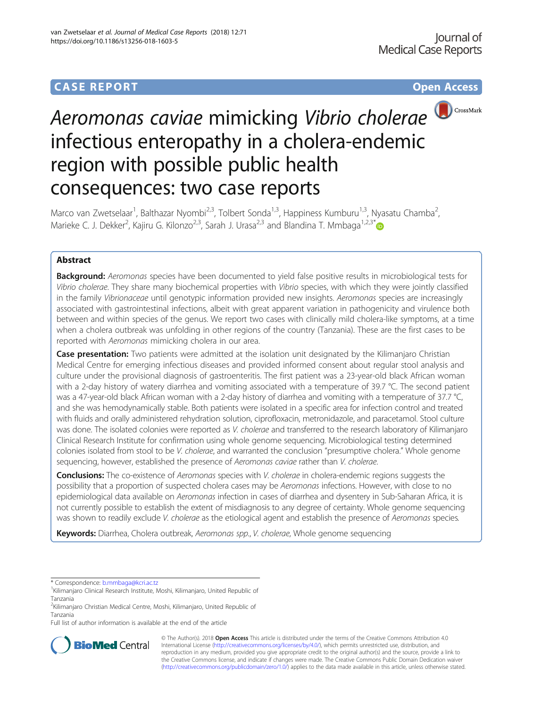# **CASE REPORT CASE REPORT CASE REPORT**



# Aeromonas caviae mimicking Vibrio cholerae infectious enteropathy in a cholera-endemic region with possible public health consequences: two case reports

Marco van Zwetselaar<sup>1</sup>, Balthazar Nyombi<sup>2,3</sup>, Tolbert Sonda<sup>1,3</sup>, Happiness Kumburu<sup>1,3</sup>, Nyasatu Chamba<sup>2</sup> , Marieke C. J. Dekker<sup>2</sup>, Kajiru G. Kilonzo<sup>2,3</sup>, Sarah J. Urasa<sup>2,3</sup> and Blandina T. Mmbaga<sup>1,2,3[\\*](http://orcid.org/0000-0002-5550-1916)</sup>

## Abstract

**Background:** Aeromonas species have been documented to yield false positive results in microbiological tests for Vibrio cholerae. They share many biochemical properties with Vibrio species, with which they were jointly classified in the family Vibrionaceae until genotypic information provided new insights. Aeromonas species are increasingly associated with gastrointestinal infections, albeit with great apparent variation in pathogenicity and virulence both between and within species of the genus. We report two cases with clinically mild cholera-like symptoms, at a time when a cholera outbreak was unfolding in other regions of the country (Tanzania). These are the first cases to be reported with Aeromonas mimicking cholera in our area.

**Case presentation:** Two patients were admitted at the isolation unit designated by the Kilimanjaro Christian Medical Centre for emerging infectious diseases and provided informed consent about regular stool analysis and culture under the provisional diagnosis of gastroenteritis. The first patient was a 23-year-old black African woman with a 2-day history of watery diarrhea and vomiting associated with a temperature of 39.7 °C. The second patient was a 47-year-old black African woman with a 2-day history of diarrhea and vomiting with a temperature of 37.7 °C, and she was hemodynamically stable. Both patients were isolated in a specific area for infection control and treated with fluids and orally administered rehydration solution, ciprofloxacin, metronidazole, and paracetamol. Stool culture was done. The isolated colonies were reported as V. cholerae and transferred to the research laboratory of Kilimanjaro Clinical Research Institute for confirmation using whole genome sequencing. Microbiological testing determined colonies isolated from stool to be V. cholerae, and warranted the conclusion "presumptive cholera." Whole genome sequencing, however, established the presence of Aeromonas caviae rather than V. cholerae.

**Conclusions:** The co-existence of Aeromonas species with V. cholerae in cholera-endemic regions suggests the possibility that a proportion of suspected cholera cases may be Aeromonas infections. However, with close to no epidemiological data available on Aeromonas infection in cases of diarrhea and dysentery in Sub-Saharan Africa, it is not currently possible to establish the extent of misdiagnosis to any degree of certainty. Whole genome sequencing was shown to readily exclude V. cholerae as the etiological agent and establish the presence of Aeromonas species.

Keywords: Diarrhea, Cholera outbreak, Aeromonas spp., V. cholerae, Whole genome sequencing

Full list of author information is available at the end of the article



© The Author(s). 2018 Open Access This article is distributed under the terms of the Creative Commons Attribution 4.0 International License [\(http://creativecommons.org/licenses/by/4.0/](http://creativecommons.org/licenses/by/4.0/)), which permits unrestricted use, distribution, and reproduction in any medium, provided you give appropriate credit to the original author(s) and the source, provide a link to the Creative Commons license, and indicate if changes were made. The Creative Commons Public Domain Dedication waiver [\(http://creativecommons.org/publicdomain/zero/1.0/](http://creativecommons.org/publicdomain/zero/1.0/)) applies to the data made available in this article, unless otherwise stated.

<sup>\*</sup> Correspondence: [b.mmbaga@kcri.ac.tz](mailto:b.mmbaga@kcri.ac.tz) <sup>1</sup>

<sup>&</sup>lt;sup>1</sup> Kilimanjaro Clinical Research Institute, Moshi, Kilimanjaro, United Republic of Tanzania

<sup>&</sup>lt;sup>2</sup>Kilimanjaro Christian Medical Centre, Moshi, Kilimanjaro, United Republic of Tanzania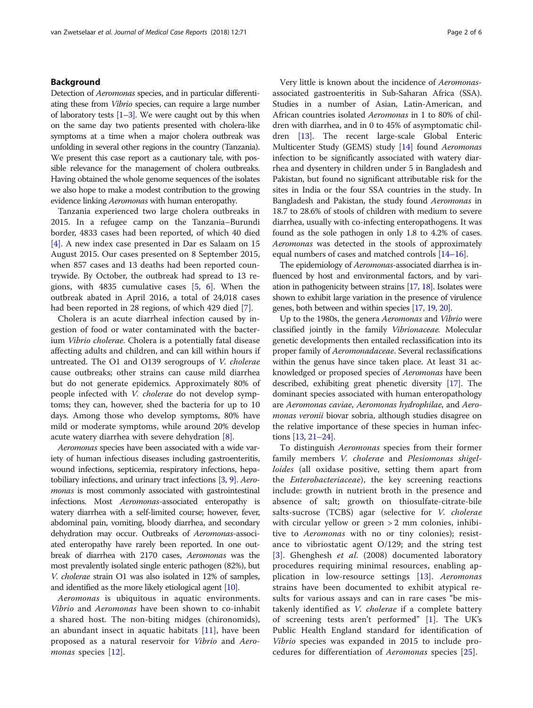### Background

Detection of Aeromonas species, and in particular differentiating these from Vibrio species, can require a large number of laboratory tests  $[1-3]$  $[1-3]$  $[1-3]$  $[1-3]$ . We were caught out by this when on the same day two patients presented with cholera-like symptoms at a time when a major cholera outbreak was unfolding in several other regions in the country (Tanzania). We present this case report as a cautionary tale, with possible relevance for the management of cholera outbreaks. Having obtained the whole genome sequences of the isolates we also hope to make a modest contribution to the growing evidence linking Aeromonas with human enteropathy.

Tanzania experienced two large cholera outbreaks in 2015. In a refugee camp on the Tanzania–Burundi border, 4833 cases had been reported, of which 40 died [[4\]](#page-5-0). A new index case presented in Dar es Salaam on 15 August 2015. Our cases presented on 8 September 2015, when 857 cases and 13 deaths had been reported countrywide. By October, the outbreak had spread to 13 regions, with 4835 cumulative cases [\[5](#page-5-0), [6](#page-5-0)]. When the outbreak abated in April 2016, a total of 24,018 cases had been reported in 28 regions, of which 429 died [[7\]](#page-5-0).

Cholera is an acute diarrheal infection caused by ingestion of food or water contaminated with the bacterium Vibrio cholerae. Cholera is a potentially fatal disease affecting adults and children, and can kill within hours if untreated. The O1 and O139 serogroups of V. cholerae cause outbreaks; other strains can cause mild diarrhea but do not generate epidemics. Approximately 80% of people infected with V. cholerae do not develop symptoms; they can, however, shed the bacteria for up to 10 days. Among those who develop symptoms, 80% have mild or moderate symptoms, while around 20% develop acute watery diarrhea with severe dehydration [[8\]](#page-5-0).

Aeromonas species have been associated with a wide variety of human infectious diseases including gastroenteritis, wound infections, septicemia, respiratory infections, hepatobiliary infections, and urinary tract infections [\[3,](#page-5-0) [9](#page-5-0)]. Aeromonas is most commonly associated with gastrointestinal infections. Most Aeromonas-associated enteropathy is watery diarrhea with a self-limited course; however, fever, abdominal pain, vomiting, bloody diarrhea, and secondary dehydration may occur. Outbreaks of Aeromonas-associated enteropathy have rarely been reported. In one outbreak of diarrhea with 2170 cases, Aeromonas was the most prevalently isolated single enteric pathogen (82%), but V. cholerae strain O1 was also isolated in 12% of samples, and identified as the more likely etiological agent [\[10\]](#page-5-0).

Aeromonas is ubiquitous in aquatic environments. Vibrio and Aeromonas have been shown to co-inhabit a shared host. The non-biting midges (chironomids), an abundant insect in aquatic habitats  $[11]$  $[11]$ , have been proposed as a natural reservoir for Vibrio and Aero-monas species [\[12](#page-5-0)].

Very little is known about the incidence of Aeromonasassociated gastroenteritis in Sub-Saharan Africa (SSA). Studies in a number of Asian, Latin-American, and African countries isolated Aeromonas in 1 to 80% of children with diarrhea, and in 0 to 45% of asymptomatic children [\[13\]](#page-5-0). The recent large-scale Global Enteric Multicenter Study (GEMS) study [\[14\]](#page-5-0) found Aeromonas infection to be significantly associated with watery diarrhea and dysentery in children under 5 in Bangladesh and Pakistan, but found no significant attributable risk for the sites in India or the four SSA countries in the study. In Bangladesh and Pakistan, the study found Aeromonas in 18.7 to 28.6% of stools of children with medium to severe diarrhea, usually with co-infecting enteropathogens. It was found as the sole pathogen in only 1.8 to 4.2% of cases. Aeromonas was detected in the stools of approximately equal numbers of cases and matched controls [\[14](#page-5-0)–[16](#page-5-0)].

The epidemiology of Aeromonas-associated diarrhea is influenced by host and environmental factors, and by variation in pathogenicity between strains [[17,](#page-5-0) [18\]](#page-5-0). Isolates were shown to exhibit large variation in the presence of virulence genes, both between and within species [\[17,](#page-5-0) [19,](#page-5-0) [20\]](#page-5-0).

Up to the 1980s, the genera Aeromonas and Vibrio were classified jointly in the family Vibrionaceae. Molecular genetic developments then entailed reclassification into its proper family of Aeromonadaceae. Several reclassifications within the genus have since taken place. At least 31 acknowledged or proposed species of Aeromonas have been described, exhibiting great phenetic diversity [\[17\]](#page-5-0). The dominant species associated with human enteropathology are Aeromonas caviae, Aeromonas hydrophilae, and Aeromonas veronii biovar sobria, although studies disagree on the relative importance of these species in human infections [\[13,](#page-5-0) [21](#page-5-0)–[24\]](#page-5-0).

To distinguish Aeromonas species from their former family members V. cholerae and Plesiomonas shigelloides (all oxidase positive, setting them apart from the Enterobacteriaceae), the key screening reactions include: growth in nutrient broth in the presence and absence of salt; growth on thiosulfate-citrate-bile salts-sucrose (TCBS) agar (selective for V. cholerae with circular yellow or green > 2 mm colonies, inhibitive to Aeromonas with no or tiny colonies); resistance to vibriostatic agent O/129; and the string test [[3](#page-5-0)]. Ghenghesh et al. (2008) documented laboratory procedures requiring minimal resources, enabling ap-plication in low-resource settings [[13\]](#page-5-0). Aeromonas strains have been documented to exhibit atypical results for various assays and can in rare cases "be mistakenly identified as V. cholerae if a complete battery of screening tests aren't performed" [[1](#page-5-0)]. The UK's Public Health England standard for identification of Vibrio species was expanded in 2015 to include procedures for differentiation of Aeromonas species [\[25](#page-5-0)].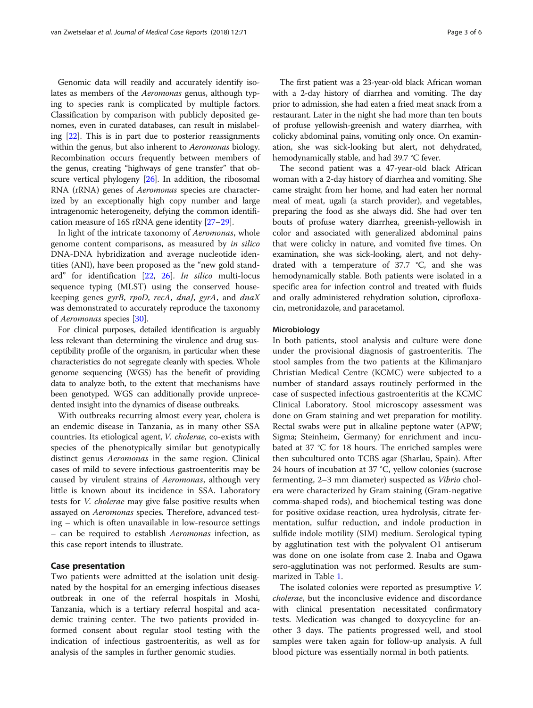Genomic data will readily and accurately identify isolates as members of the Aeromonas genus, although typing to species rank is complicated by multiple factors. Classification by comparison with publicly deposited genomes, even in curated databases, can result in mislabeling  $[22]$  $[22]$  $[22]$ . This is in part due to posterior reassignments within the genus, but also inherent to Aeromonas biology. Recombination occurs frequently between members of the genus, creating "highways of gene transfer" that obscure vertical phylogeny [\[26\]](#page-5-0). In addition, the ribosomal RNA (rRNA) genes of Aeromonas species are characterized by an exceptionally high copy number and large intragenomic heterogeneity, defying the common identification measure of 16S rRNA gene identity [\[27](#page-5-0)–[29](#page-5-0)].

In light of the intricate taxonomy of Aeromonas, whole genome content comparisons, as measured by in silico DNA-DNA hybridization and average nucleotide identities (ANI), have been proposed as the "new gold standard" for identification [[22,](#page-5-0) [26](#page-5-0)]. In silico multi-locus sequence typing (MLST) using the conserved housekeeping genes gyrB, rpoD, recA, dnaJ, gyrA, and dnaX was demonstrated to accurately reproduce the taxonomy of Aeromonas species [[30\]](#page-5-0).

For clinical purposes, detailed identification is arguably less relevant than determining the virulence and drug susceptibility profile of the organism, in particular when these characteristics do not segregate cleanly with species. Whole genome sequencing (WGS) has the benefit of providing data to analyze both, to the extent that mechanisms have been genotyped. WGS can additionally provide unprecedented insight into the dynamics of disease outbreaks.

With outbreaks recurring almost every year, cholera is an endemic disease in Tanzania, as in many other SSA countries. Its etiological agent, V. cholerae, co-exists with species of the phenotypically similar but genotypically distinct genus Aeromonas in the same region. Clinical cases of mild to severe infectious gastroenteritis may be caused by virulent strains of Aeromonas, although very little is known about its incidence in SSA. Laboratory tests for V. cholerae may give false positive results when assayed on Aeromonas species. Therefore, advanced testing – which is often unavailable in low-resource settings – can be required to establish Aeromonas infection, as this case report intends to illustrate.

#### Case presentation

Two patients were admitted at the isolation unit designated by the hospital for an emerging infectious diseases outbreak in one of the referral hospitals in Moshi, Tanzania, which is a tertiary referral hospital and academic training center. The two patients provided informed consent about regular stool testing with the indication of infectious gastroenteritis, as well as for analysis of the samples in further genomic studies.

The first patient was a 23-year-old black African woman with a 2-day history of diarrhea and vomiting. The day prior to admission, she had eaten a fried meat snack from a restaurant. Later in the night she had more than ten bouts of profuse yellowish-greenish and watery diarrhea, with colicky abdominal pains, vomiting only once. On examination, she was sick-looking but alert, not dehydrated, hemodynamically stable, and had 39.7 °C fever.

The second patient was a 47-year-old black African woman with a 2-day history of diarrhea and vomiting. She came straight from her home, and had eaten her normal meal of meat, ugali (a starch provider), and vegetables, preparing the food as she always did. She had over ten bouts of profuse watery diarrhea, greenish-yellowish in color and associated with generalized abdominal pains that were colicky in nature, and vomited five times. On examination, she was sick-looking, alert, and not dehydrated with a temperature of 37.7 °C, and she was hemodynamically stable. Both patients were isolated in a specific area for infection control and treated with fluids and orally administered rehydration solution, ciprofloxacin, metronidazole, and paracetamol.

#### Microbiology

In both patients, stool analysis and culture were done under the provisional diagnosis of gastroenteritis. The stool samples from the two patients at the Kilimanjaro Christian Medical Centre (KCMC) were subjected to a number of standard assays routinely performed in the case of suspected infectious gastroenteritis at the KCMC Clinical Laboratory. Stool microscopy assessment was done on Gram staining and wet preparation for motility. Rectal swabs were put in alkaline peptone water (APW; Sigma; Steinheim, Germany) for enrichment and incubated at 37 °C for 18 hours. The enriched samples were then subcultured onto TCBS agar (Sharlau, Spain). After 24 hours of incubation at 37 °C, yellow colonies (sucrose fermenting, 2–3 mm diameter) suspected as Vibrio cholera were characterized by Gram staining (Gram-negative comma-shaped rods), and biochemical testing was done for positive oxidase reaction, urea hydrolysis, citrate fermentation, sulfur reduction, and indole production in sulfide indole motility (SIM) medium. Serological typing by agglutination test with the polyvalent O1 antiserum was done on one isolate from case 2. Inaba and Ogawa sero-agglutination was not performed. Results are summarized in Table [1](#page-3-0).

The isolated colonies were reported as presumptive V. cholerae, but the inconclusive evidence and discordance with clinical presentation necessitated confirmatory tests. Medication was changed to doxycycline for another 3 days. The patients progressed well, and stool samples were taken again for follow-up analysis. A full blood picture was essentially normal in both patients.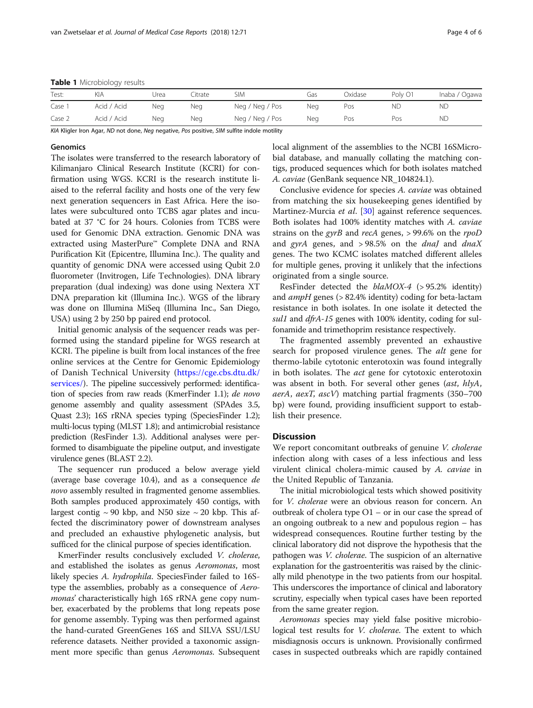<span id="page-3-0"></span>

| Test:  | KIA         | Urea       | Citrate | SIM             | Gas | Oxidase | Poly O1   | Inaba / Ogawa |  |
|--------|-------------|------------|---------|-----------------|-----|---------|-----------|---------------|--|
| Case   | Acid / Acid | <b>Neg</b> | Nea     | Neg / Neg / Pos | Neg | Pos     | <b>ND</b> | <b>ND</b>     |  |
| Case 2 | Acid / Acid | Neg        | Nea     | Neg / Neg / Pos | Neg | Pos     | Pos       | <b>ND</b>     |  |
|        |             |            |         |                 |     |         |           |               |  |

KIA Kligler Iron Agar, ND not done, Neg negative, Pos positive, SIM sulfite indole motility

#### Genomics

The isolates were transferred to the research laboratory of Kilimanjaro Clinical Research Institute (KCRI) for confirmation using WGS. KCRI is the research institute liaised to the referral facility and hosts one of the very few next generation sequencers in East Africa. Here the isolates were subcultured onto TCBS agar plates and incubated at 37 °C for 24 hours. Colonies from TCBS were used for Genomic DNA extraction. Genomic DNA was extracted using MasterPure<sup>™</sup> Complete DNA and RNA Purification Kit (Epicentre, Illumina Inc.). The quality and quantity of genomic DNA were accessed using Qubit 2.0 fluorometer (Invitrogen, Life Technologies). DNA library preparation (dual indexing) was done using Nextera XT DNA preparation kit (Illumina Inc.). WGS of the library was done on Illumina MiSeq (Illumina Inc., San Diego, USA) using 2 by 250 bp paired end protocol.

Initial genomic analysis of the sequencer reads was performed using the standard pipeline for WGS research at KCRI. The pipeline is built from local instances of the free online services at the Centre for Genomic Epidemiology of Danish Technical University ([https://cge.cbs.dtu.dk/](https://cge.cbs.dtu.dk/services) [services/\)](https://cge.cbs.dtu.dk/services). The pipeline successively performed: identification of species from raw reads (KmerFinder 1.1); de novo genome assembly and quality assessment (SPAdes 3.5, Quast 2.3); 16S rRNA species typing (SpeciesFinder 1.2); multi-locus typing (MLST 1.8); and antimicrobial resistance prediction (ResFinder 1.3). Additional analyses were performed to disambiguate the pipeline output, and investigate virulence genes (BLAST 2.2).

The sequencer run produced a below average yield (average base coverage 10.4), and as a consequence de novo assembly resulted in fragmented genome assemblies. Both samples produced approximately 450 contigs, with largest contig  $\sim$  90 kbp, and N50 size  $\sim$  20 kbp. This affected the discriminatory power of downstream analyses and precluded an exhaustive phylogenetic analysis, but sufficed for the clinical purpose of species identification.

KmerFinder results conclusively excluded V. cholerae, and established the isolates as genus Aeromonas, most likely species A. hydrophila. SpeciesFinder failed to 16Stype the assemblies, probably as a consequence of Aeromonas' characteristically high 16S rRNA gene copy number, exacerbated by the problems that long repeats pose for genome assembly. Typing was then performed against the hand-curated GreenGenes 16S and SILVA SSU/LSU reference datasets. Neither provided a taxonomic assignment more specific than genus Aeromonas. Subsequent local alignment of the assemblies to the NCBI 16SMicrobial database, and manually collating the matching contigs, produced sequences which for both isolates matched A. caviae (GenBank sequence NR\_104824.1).

Conclusive evidence for species A. caviae was obtained from matching the six housekeeping genes identified by Martinez-Murcia et al. [[30\]](#page-5-0) against reference sequences. Both isolates had 100% identity matches with A. caviae strains on the gyrB and recA genes, > 99.6% on the rpoD and gyrA genes, and > 98.5% on the  $dnaJ$  and  $dnaX$ genes. The two KCMC isolates matched different alleles for multiple genes, proving it unlikely that the infections originated from a single source.

ResFinder detected the blaMOX-4 (> 95.2% identity) and ampH genes (> 82.4% identity) coding for beta-lactam resistance in both isolates. In one isolate it detected the sul1 and dfrA-15 genes with 100% identity, coding for sulfonamide and trimethoprim resistance respectively.

The fragmented assembly prevented an exhaustive search for proposed virulence genes. The *alt* gene for thermo-labile cytotonic enterotoxin was found integrally in both isolates. The act gene for cytotoxic enterotoxin was absent in both. For several other genes (ast, hlyA, aerA, aexT, ascV) matching partial fragments (350–700 bp) were found, providing insufficient support to establish their presence.

#### **Discussion**

We report concomitant outbreaks of genuine *V. cholerae* infection along with cases of a less infectious and less virulent clinical cholera-mimic caused by A. caviae in the United Republic of Tanzania.

The initial microbiological tests which showed positivity for V. cholerae were an obvious reason for concern. An outbreak of cholera type O1 – or in our case the spread of an ongoing outbreak to a new and populous region – has widespread consequences. Routine further testing by the clinical laboratory did not disprove the hypothesis that the pathogen was V. cholerae. The suspicion of an alternative explanation for the gastroenteritis was raised by the clinically mild phenotype in the two patients from our hospital. This underscores the importance of clinical and laboratory scrutiny, especially when typical cases have been reported from the same greater region.

Aeromonas species may yield false positive microbiological test results for V. cholerae. The extent to which misdiagnosis occurs is unknown. Provisionally confirmed cases in suspected outbreaks which are rapidly contained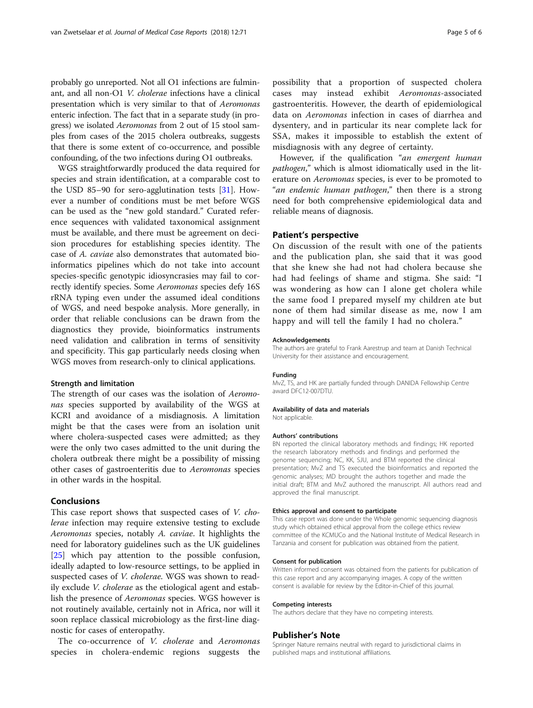probably go unreported. Not all O1 infections are fulminant, and all non-O1 V. cholerae infections have a clinical presentation which is very similar to that of Aeromonas enteric infection. The fact that in a separate study (in progress) we isolated Aeromonas from 2 out of 15 stool samples from cases of the 2015 cholera outbreaks, suggests that there is some extent of co-occurrence, and possible confounding, of the two infections during O1 outbreaks.

WGS straightforwardly produced the data required for species and strain identification, at a comparable cost to the USD 85–90 for sero-agglutination tests [[31\]](#page-5-0). However a number of conditions must be met before WGS can be used as the "new gold standard." Curated reference sequences with validated taxonomical assignment must be available, and there must be agreement on decision procedures for establishing species identity. The case of A. caviae also demonstrates that automated bioinformatics pipelines which do not take into account species-specific genotypic idiosyncrasies may fail to correctly identify species. Some Aeromonas species defy 16S rRNA typing even under the assumed ideal conditions of WGS, and need bespoke analysis. More generally, in order that reliable conclusions can be drawn from the diagnostics they provide, bioinformatics instruments need validation and calibration in terms of sensitivity and specificity. This gap particularly needs closing when WGS moves from research-only to clinical applications.

#### Strength and limitation

The strength of our cases was the isolation of Aeromonas species supported by availability of the WGS at KCRI and avoidance of a misdiagnosis. A limitation might be that the cases were from an isolation unit where cholera-suspected cases were admitted; as they were the only two cases admitted to the unit during the cholera outbreak there might be a possibility of missing other cases of gastroenteritis due to Aeromonas species in other wards in the hospital.

#### Conclusions

This case report shows that suspected cases of V. cholerae infection may require extensive testing to exclude Aeromonas species, notably A. caviae. It highlights the need for laboratory guidelines such as the UK guidelines [[25\]](#page-5-0) which pay attention to the possible confusion, ideally adapted to low-resource settings, to be applied in suspected cases of V. cholerae. WGS was shown to readily exclude V. cholerae as the etiological agent and establish the presence of Aeromonas species. WGS however is not routinely available, certainly not in Africa, nor will it soon replace classical microbiology as the first-line diagnostic for cases of enteropathy.

The co-occurrence of V. cholerae and Aeromonas species in cholera-endemic regions suggests the

possibility that a proportion of suspected cholera cases may instead exhibit Aeromonas-associated gastroenteritis. However, the dearth of epidemiological data on Aeromonas infection in cases of diarrhea and dysentery, and in particular its near complete lack for SSA, makes it impossible to establish the extent of misdiagnosis with any degree of certainty.

However, if the qualification "an emergent human pathogen," which is almost idiomatically used in the literature on Aeromonas species, is ever to be promoted to "an endemic human pathogen," then there is a strong need for both comprehensive epidemiological data and reliable means of diagnosis.

#### Patient's perspective

On discussion of the result with one of the patients and the publication plan, she said that it was good that she knew she had not had cholera because she had had feelings of shame and stigma. She said: "I was wondering as how can I alone get cholera while the same food I prepared myself my children ate but none of them had similar disease as me, now I am happy and will tell the family I had no cholera."

#### Acknowledgements

The authors are grateful to Frank Aarestrup and team at Danish Technical University for their assistance and encouragement.

#### Funding

MvZ, TS, and HK are partially funded through DANIDA Fellowship Centre award DFC12-007DTU.

#### Availability of data and materials

Not applicable.

#### Authors' contributions

BN reported the clinical laboratory methods and findings; HK reported the research laboratory methods and findings and performed the genome sequencing; NC, KK, SJU, and BTM reported the clinical presentation; MvZ and TS executed the bioinformatics and reported the genomic analyses; MD brought the authors together and made the initial draft; BTM and MvZ authored the manuscript. All authors read and approved the final manuscript.

#### Ethics approval and consent to participate

This case report was done under the Whole genomic sequencing diagnosis study which obtained ethical approval from the college ethics review committee of the KCMUCo and the National Institute of Medical Research in Tanzania and consent for publication was obtained from the patient.

#### Consent for publication

Written informed consent was obtained from the patients for publication of this case report and any accompanying images. A copy of the written consent is available for review by the Editor-in-Chief of this journal.

#### Competing interests

The authors declare that they have no competing interests.

#### Publisher's Note

Springer Nature remains neutral with regard to jurisdictional claims in published maps and institutional affiliations.